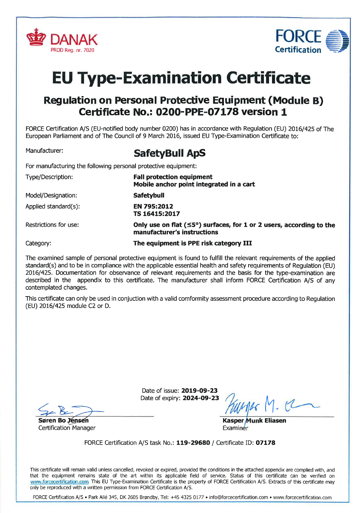



## **EU Type-Examination Certificate**

## Regulation on Personal Protective Equipment (Module B) Certificate No.: 0200-PPE-07178 version 1

FORCE Certification A/S (EU-notified body number 0200) has in accordance with Regulation (EU) 2016/425 of The European Parliament and of The Council of 9 March 2016, issued EU Type-Examination Ceftificate to:

## Manufacturer: SafetyBull ApS

For manufacturing the following personal protective equipment:

| Type/Description:        | <b>Fall protection equipment</b><br>Mobile anchor point integrated in a cart                              |  |
|--------------------------|-----------------------------------------------------------------------------------------------------------|--|
| Model/Designation:       | <b>Safetybull</b>                                                                                         |  |
| Applied standard $(s)$ : | EN 795:2012<br>TS 16415:2017                                                                              |  |
| Restrictions for use:    | Only use on flat ( $\leq$ 5°) surfaces, for 1 or 2 users, according to the<br>manufacturer's instructions |  |
| Category:                | The equipment is PPE risk category III                                                                    |  |

The examined sample of personal protective equipment is found to fulfill the relevant requirements of the applied standard(s) and to be in compliance with the applicable essential health and safety requirements of Regulation (EU) 2016/425. Documentation for observance of relevant requirements and the basis for the type-examination are described in the appendix to this certificate. The manufacturer shall inform FORCE Ceftification A/S of any contemplated changes.

This ceftificate can only be used in conjuction with a valid comformity assessment procedure according to Regulation (EU) 2016/425 module C2 or D.

Date of issue: **2019-09-23**<br>Date of expiry: **2024-09-23** 

Date of expiry: 2024-09-23  $\n\frac{\sqrt{2}}{\sqrt{2}}$ Søren Bo Jensen

**Certification Manager** 

Kasper Munk Eliasen **Examiner** 

FORCE Certification A/S task No.: 119-29680 / Certificate ID: 07178

This certificate will remain valid unless cancelled, revoked or expired, provided the conditions in the attached appendix are complied with, and that the equipment remains state of the art within its applicable field of service. Status of this certificate can be verified on www.forcecertification.com. This EU Type-Examination Certificate is the property of FORCE Certification A/S. Extracts of this certificate may only be reproduced with a written permission from FORCE Certification A/S.

FORCE Certification A/S . Park Allé 345, DK 2605 Brøndby, Tel: +45 4325 0177 . info@forcecertification.com . www.forcecertification.com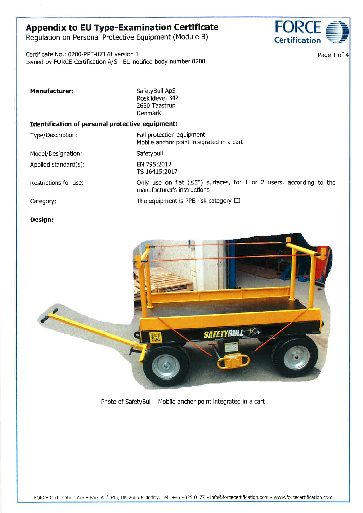# Appendix to EU Type-Examination Certificate FORCE<br>Regulation on Personal Protective Equipment (Module B) Certification

Regulation on Personal Protective Equipment (Module B)

Certificate No.: 0200-PPE-07L78 version <sup>1</sup> Issued by FORCE Certification A/S - EU-notified body number 0200



Page 1 of 4

| <b>Manufacturer:</b>                             | SafetyBull ApS<br>Roskildevej 342<br>2630 Taastrup<br><b>Denmark</b>                                        |  |  |  |
|--------------------------------------------------|-------------------------------------------------------------------------------------------------------------|--|--|--|
| Identification of personal protective equipment: |                                                                                                             |  |  |  |
| Type/Description:                                | Fall protection equipment<br>Mobile anchor point integrated in a cart                                       |  |  |  |
| Model/Designation:                               | Safetybull                                                                                                  |  |  |  |
| Applied standard(s):                             | EN 795:2012<br>TS 16415:2017                                                                                |  |  |  |
| Restrictions for use:                            | Only use on flat $(55^{\circ})$ surfaces, for 1 or 2 users, according to the<br>manufacturer's instructions |  |  |  |
| Category:                                        | The equipment is PPE risk category III                                                                      |  |  |  |

#### Design



Photo of SafetyBull - Mobile anchor point integrated in a cart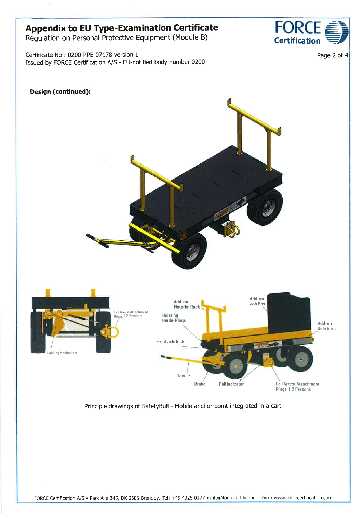## **Appendix to EU Type-Examination Certificate**

Regulation on Personal Protective Equipment (Module B)

Certificate No.: 0200-PPE-07178 version 1 Issued by FORCE Certification A/S - EU-notified body number 0200



OR

**Certification** 

Page 2 of 4

Principle drawings of SafetyBull - Mobile anchor point integrated in a cart

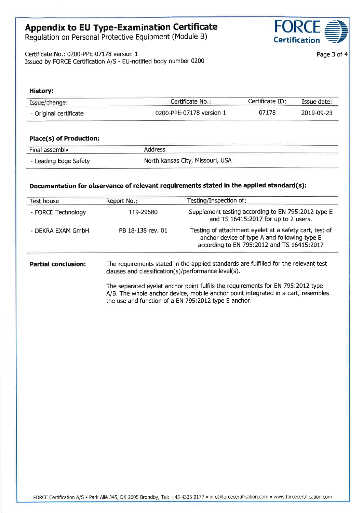## Appendix to EU Type-Examination Certificate

Regulation on Personal Protective Equipment (Module B)

Certificate No.: 0200-PPE-07178 version <sup>1</sup> Issued by FORCE Certification A/S - EU-notified body number 0200



Page 3 of 4

| History:                       |                                   |                 |            |  |
|--------------------------------|-----------------------------------|-----------------|------------|--|
| Issue/change:                  | Certificate No.:                  | Certificate ID: | Issue date |  |
| - Original certificate         | 07178<br>0200-PPE-07178 version 1 |                 | 2019-09-23 |  |
| <b>Place(s) of Production:</b> |                                   |                 |            |  |
| Final assembly                 | <b>Address</b>                    |                 |            |  |
| - Leading Edge Safety          | North kansas City, Missouri, USA  |                 |            |  |

#### Documentation for observance of relevant requirements stated in the applied standard(s):

| Test house                 | Report No.:       | Testing/Inspection of:                                                                                                                               |
|----------------------------|-------------------|------------------------------------------------------------------------------------------------------------------------------------------------------|
| - FORCE Technology         | 119-29680         | Supplement testing according to EN 795:2012 type E<br>and TS 16415:2017 for up to 2 users.                                                           |
| - DEKRA EXAM GmbH          | PB 18-138 rev. 01 | Testing of attachment eyelet at a safety cart, test of<br>anchor device of type A and following type E<br>according to EN 795:2012 and TS 16415:2017 |
| <b>Partial conclusion:</b> |                   | The requirements stated in the applied standards are fulfilled for the relevant test                                                                 |

clauses and classification(s)/performance level(s).

The separated eyelet anchor point fulfils the requirements for EN 795:2012 Wpe A/8. The whole anchor device, mobile anchor point integrated in a cart, resembles the use and function of a EN 795:2012 type E anchor.